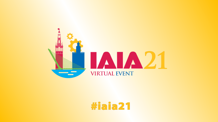

# #iaia21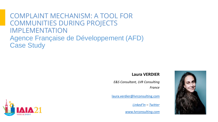### COMPLAINT MECHANISM: A TOOL FOR COMMUNITIES DURING PROJECTS IMPLEMENTATION Agence Française de Développement (AFD) Case Study

#### **Laura VERDIER**

*E&S Consultant, LVR Consulting France*

[laura.verdier@lvrconsulting.com](mailto:laura.verdier@lvrconsulting.com)

*[Linked'In](https://www.linkedin.com/in/laura-verdier-rongiconi-055aa96/) – [Twitter](https://twitter.com/lauraverdierr?lang=fr)*

*[www.lvrconsulting.com](http://www.lvrconsulting.com/)*



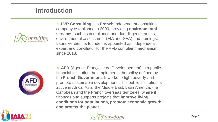#### **Introduction**



❖ **LVR Consulting** is a **French** independent consulting company established in 2009, providing **environmental services** such as compliance and due diligence audits, environmental assessment (EIA and SEA) and trainings. Laura Verdier, its founder, is appointed as independent expert and conciliator for the AFD complaint mechanism since 2018.



❖ **AFD** (Agence Française de Développement) is a public financial institution that implements the policy defined by the **French Government**. It works to fight poverty and promote sustainable development. This public institution is active in Africa, Asia, the Middle East, Latin America, the Caribbean and the French overseas territories, where it finances and supports projects that **improve living conditions for populations, promote economic growth and protect the planet**.



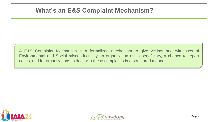#### **What's an E&S Complaint Mechanism?**

A E&S Complaint Mechanism is a formalized mechanism to give victims and witnesses of Environmental and Social misconducts by an organization or its beneficiary, a chance to report cases, and for organizations to deal with these complaints in a structured manner.



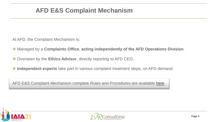### **AFD E&S Complaint Mechanism**

At AFD, the Complaint Mechanism is:

- ❖ Managed by a **Complaints Office**, **acting independently of the AFD Operations Division**.
- ❖ Overseen by the **Ethics Advisor**, directly reporting to AFD CEO.
- ❖ **Independent experts** take part in various complaint treatment steps, on AFD demand.

AFD E&S Complaint Mechanism complete Rules and Procedures are available [here](https://www.afd.fr/sites/afd/files/2019-03-02-22-05/AFD%20-%20Rules%20of%20procedure_E%26s%20complaint%20mechanism.pdf)



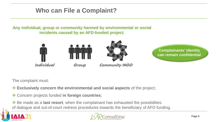### **Who can File a Complaint?**

**Any individual, group or community harmed by environmental or social incidents caused by an AFD-funded project**.



The complaint must:

- ❖ **Exclusively concern the environmental and social aspects** of the project;
- ❖ Concern projects funded **in foreign countries**;
- ❖ Be made as a **last resort**, when the complainant has exhausted the possibilities of dialogue and out-of-court redress procedures towards the beneficiary of AFD funding.



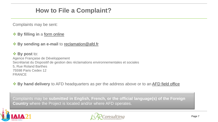### **How to File a Complaint?**

Complaints may be sent:

#### ❖ **By filling in** a [form online](https://www.afd.fr/en/form/submit-an-environmental-and-soci)

#### ❖ **By sending an e-mail** to [reclamation@afd.fr](mailto:reclamation@afd.fr)

❖ **By post** to: Agence Française de Développement Secrétariat du Dispositif de gestion des réclamations environnementales et sociales 5, Rue Roland Barthes 75598 Paris Cedex 12 FRANCE

❖ **By hand delivery** to AFD headquarters as per the address above or to an [AFD field office](https://www.afd.fr/en/le-reseau-des-agences)

Complaints may be **submitted in English, French, or the official language(s) of the Foreign Country** where the Project is located and/or where AFD operates.



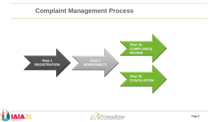### **Complaint Management Process**





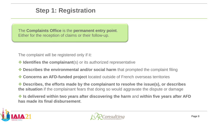#### **Step 1: Registration**

The **Complaints Office** is the **permanent entry point**. Either for the reception of claims or their follow-up.

The complaint will be registered only if it:

- ❖ **Identifies the complainant**(s) or its authorized representative
- ❖ **Describes the environmental and/or social harm** that prompted the complaint filing
- ❖ **Concerns an AFD-funded project** located outside of French overseas territories

❖ **Describes, the efforts made by the complainant to resolve the issue(s), or describes the situation** if the complainant fears that doing so would aggravate the dispute or damage

❖ **Is delivered within two years after discovering the harm** and **within five years after AFD has made its final disbursement**.



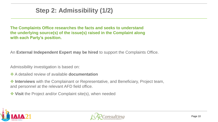### **Step 2: Admissibility (1/2)**

**The Complaints Office researches the facts and seeks to understand the underlying source(s) of the issue(s) raised in the Complaint along with each Party's position.** 

An **External Independent Expert may be hired** to support the Complaints Office.

Admissibility investigation is based on:

❖ A detailed review of available **documentation**

❖ **Interviews** with the Complainant or Representative, and Beneficiary, Project team, and personnel at the relevant AFD field office.

❖ **Visit** the Project and/or Complaint site(s), when needed



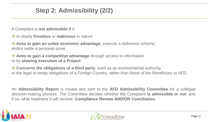### **Step 2: Admissibility (2/2)**

A Complaint is **not admissible if** it:

❖ Is clearly **frivolous** or **malicious** in nature

❖ **Aims to gain an unfair economic advantage**, execute a dishonest scheme, and/or settle a personal score

❖ **Aims to gain a competitive advantage** through access to information or by **slowing execution of a Project**

❖ **Concerns the obligations of a third party**, such as an environmental authority, or the legal or treaty obligations of a Foreign Country, rather than those of the Beneficiary or AFD.

An **Admissibility Report** is issued and sent to the **AFD Admissibility Committee** for a collegial decision-making process. The Committee decides whether the Complaint **is admissible or not**, and if so, what treatment it will receive: **Compliance Review AND/OR Conciliation**.



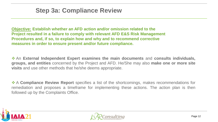**Objective: Establish whether an AFD action and/or omission related to the Project resulted in a failure to comply with relevant AFD E&S Risk Management Procedures and, if so, to explain how and why and to recommend corrective measures in order to ensure present and/or future compliance.**

❖ An **External Independent Expert examines the main documents** and **consults individuals, groups, and entities** concerned by the Project and AFD. He/She may also **make one or more site visits** and use other methods that he/she deems appropriate.

❖ A **Compliance Review Report** specifies a list of the shortcomings, makes recommendations for remediation and proposes a timeframe for implementing these actions. The action plan is then followed up by the Complaints Office.



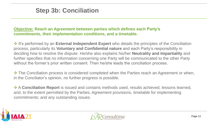### **Step 3b: Conciliation**

#### **Objective: Reach an Agreement between parties which defines each Party's commitments, their implementation conditions, and a timetable.**

❖ It's performed by an **External Independent Expert** who details the principles of the Conciliation process, particularly its **Voluntary and Confidential nature** and each Party's responsibility in deciding how to resolve the dispute. He/she also explains his/her **Neutrality and Impartiality** and further specifies that no information concerning one Party will be communicated to the other Party without the former's prior written consent. Then he/she leads the conciliation process.

❖ The Conciliation process is considered completed when the Parties reach an Agreement or when, in the Conciliator's opinion, no further progress is possible.

❖ A **Conciliation Report** is issued and contains methods used, results achieved, lessons learned, and, to the extent permitted by the Parties, Agreement provisions, timetable for implementing commitments; and any outstanding issues.



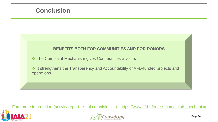#### **Conclusion**

#### **BENEFITS BOTH FOR COMMUNITIES AND FOR DONORS**

❖ The Complaint Mechanism gives Communities a voice.

❖ It strengthens the Transparency and Accountability of AFD-funded projects and operations.

Fore more information (activity report, list of complaints...) : <https://www.afd.fr/en/e-s-complaints-mechanism>